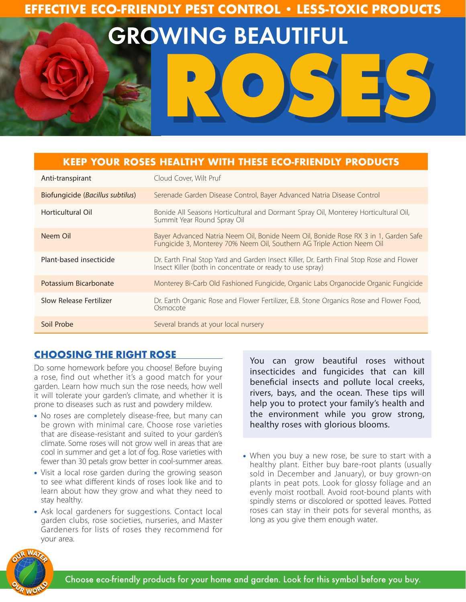# **EFFECTIVE ECO-FRIENDLY PEST CONTROL • LESS-TOXIC PRODUCTS**

GROWING BEAUTIFUL

**ROSES**

# **KEEP YOUR ROSES HEALTHY WITH THESE ECO-FRIENDLY PRODUCTS**

| Anti-transpirant                 | Cloud Cover, Wilt Pruf                                                                                                                                        |
|----------------------------------|---------------------------------------------------------------------------------------------------------------------------------------------------------------|
| Biofungicide (Bacillus subtilus) | Serenade Garden Disease Control, Bayer Advanced Natria Disease Control                                                                                        |
| Horticultural Oil                | Bonide All Seasons Horticultural and Dormant Spray Oil, Monterey Horticultural Oil,<br>Summit Year Round Spray Oil                                            |
| Neem Oil                         | Bayer Advanced Natria Neem Oil, Bonide Neem Oil, Bonide Rose RX 3 in 1, Garden Safe<br>Fungicide 3, Monterey 70% Neem Oil, Southern AG Triple Action Neem Oil |
| Plant-based insecticide          | Dr. Earth Final Stop Yard and Garden Insect Killer, Dr. Earth Final Stop Rose and Flower<br>Insect Killer (both in concentrate or ready to use spray)         |
| Potassium Bicarbonate            | Monterey Bi-Carb Old Fashioned Fungicide, Organic Labs Organocide Organic Fungicide                                                                           |
| Slow Release Fertilizer          | Dr. Earth Organic Rose and Flower Fertilizer, E.B. Stone Organics Rose and Flower Food,<br>Osmocote                                                           |
| Soil Probe                       | Several brands at your local nursery                                                                                                                          |

# **CHOOSING THE RIGHT ROSE**

Do some homework before you choose! Before buying a rose, find out whether it's a good match for your garden. Learn how much sun the rose needs, how well it will tolerate your garden's climate, and whether it is prone to diseases such as rust and powdery mildew.

- No roses are completely disease-free, but many can be grown with minimal care. Choose rose varieties that are disease-resistant and suited to your garden's climate. Some roses will not grow well in areas that are cool in summer and get a lot of fog. Rose varieties with fewer than 30 petals grow better in cool-summer areas.
- Visit a local rose garden during the growing season to see what different kinds of roses look like and to learn about how they grow and what they need to stay healthy.
- Ask local gardeners for suggestions. Contact local garden clubs, rose societies, nurseries, and Master Gardeners for lists of roses they recommend for your area.

You can grow beautiful roses without insecticides and fungicides that can kill beneficial insects and pollute local creeks, rivers, bays, and the ocean. These tips will help you to protect your family's health and the environment while you grow strong, healthy roses with glorious blooms.

• When you buy a new rose, be sure to start with a healthy plant. Either buy bare-root plants (usually sold in December and January), or buy grown-on plants in peat pots. Look for glossy foliage and an evenly moist rootball. Avoid root-bound plants with spindly stems or discolored or spotted leaves. Potted roses can stay in their pots for several months, as long as you give them enough water.

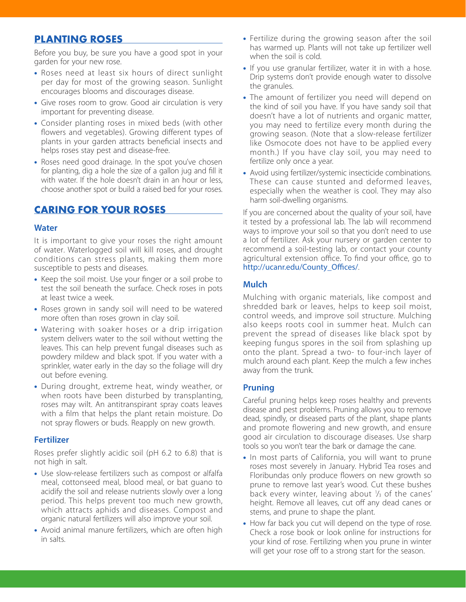# **PLANTING ROSES**

Before you buy, be sure you have a good spot in your garden for your new rose.

- Roses need at least six hours of direct sunlight per day for most of the growing season. Sunlight encourages blooms and discourages disease.
- Give roses room to grow. Good air circulation is very important for preventing disease.
- Consider planting roses in mixed beds (with other flowers and vegetables). Growing different types of plants in your garden attracts beneficial insects and helps roses stay pest and disease-free.
- Roses need good drainage. In the spot you've chosen for planting, dig a hole the size of a gallon jug and fill it with water. If the hole doesn't drain in an hour or less, choose another spot or build a raised bed for your roses.

# **CARING FOR YOUR ROSES**

#### **Water**

It is important to give your roses the right amount of water. Waterlogged soil will kill roses, and drought conditions can stress plants, making them more susceptible to pests and diseases.

- Keep the soil moist. Use your finger or a soil probe to test the soil beneath the surface. Check roses in pots at least twice a week.
- Roses grown in sandy soil will need to be watered more often than roses grown in clay soil.
- Watering with soaker hoses or a drip irrigation system delivers water to the soil without wetting the leaves. This can help prevent fungal diseases such as powdery mildew and black spot. If you water with a sprinkler, water early in the day so the foliage will dry out before evening.
- During drought, extreme heat, windy weather, or when roots have been disturbed by transplanting, roses may wilt. An antitranspirant spray coats leaves with a film that helps the plant retain moisture. Do not spray flowers or buds. Reapply on new growth.

### **Fertilizer**

Roses prefer slightly acidic soil (pH 6.2 to 6.8) that is not high in salt.

- Use slow-release fertilizers such as compost or alfalfa meal, cottonseed meal, blood meal, or bat guano to acidify the soil and release nutrients slowly over a long period. This helps prevent too much new growth, which attracts aphids and diseases. Compost and organic natural fertilizers will also improve your soil.
- Avoid animal manure fertilizers, which are often high in salts.
- Fertilize during the growing season after the soil has warmed up. Plants will not take up fertilizer well when the soil is cold.
- If you use granular fertilizer, water it in with a hose. Drip systems don't provide enough water to dissolve the granules.
- The amount of fertilizer you need will depend on the kind of soil you have. If you have sandy soil that doesn't have a lot of nutrients and organic matter, you may need to fertilize every month during the growing season. (Note that a slow-release fertilizer like Osmocote does not have to be applied every month.) If you have clay soil, you may need to fertilize only once a year.
- Avoid using fertilizer/systemic insecticide combinations. These can cause stunted and deformed leaves, especially when the weather is cool. They may also harm soil-dwelling organisms.

If you are concerned about the quality of your soil, have it tested by a professional lab. The lab will recommend ways to improve your soil so that you don't need to use a lot of fertilizer. Ask your nursery or garden center to recommend a soil-testing lab, or contact your county agricultural extension office. To find your office, go to http://ucanr.edu/County\_Offices/.

### **Mulch**

Mulching with organic materials, like compost and shredded bark or leaves, helps to keep soil moist, control weeds, and improve soil structure. Mulching also keeps roots cool in summer heat. Mulch can prevent the spread of diseases like black spot by keeping fungus spores in the soil from splashing up onto the plant. Spread a two- to four-inch layer of mulch around each plant. Keep the mulch a few inches away from the trunk.

### **Pruning**

Careful pruning helps keep roses healthy and prevents disease and pest problems. Pruning allows you to remove dead, spindly, or diseased parts of the plant, shape plants and promote flowering and new growth, and ensure good air circulation to discourage diseases. Use sharp tools so you won't tear the bark or damage the cane.

- In most parts of California, you will want to prune roses most severely in January. Hybrid Tea roses and Floribundas only produce flowers on new growth so prune to remove last year's wood. Cut these bushes back every winter, leaving about  $\frac{1}{3}$  of the canes' height. Remove all leaves, cut off any dead canes or stems, and prune to shape the plant.
- How far back you cut will depend on the type of rose. Check a rose book or look online for instructions for your kind of rose. Fertilizing when you prune in winter will get your rose off to a strong start for the season.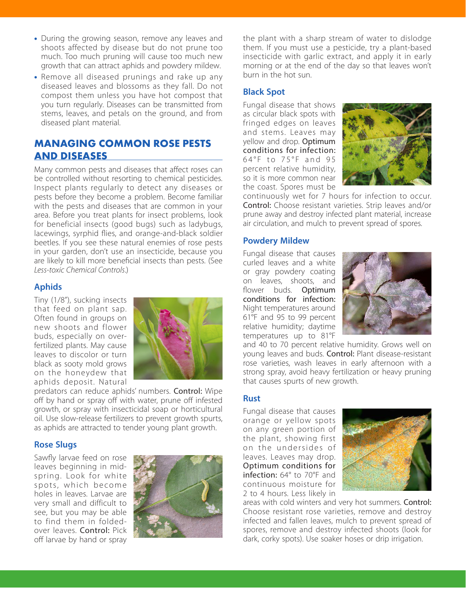- During the growing season, remove any leaves and shoots affected by disease but do not prune too much. Too much pruning will cause too much new growth that can attract aphids and powdery mildew.
- Remove all diseased prunings and rake up any diseased leaves and blossoms as they fall. Do not compost them unless you have hot compost that you turn regularly. Diseases can be transmitted from stems, leaves, and petals on the ground, and from diseased plant material.

# **MANAGING COMMON ROSE PESTS AND DISEASES**

Many common pests and diseases that affect roses can be controlled without resorting to chemical pesticides. Inspect plants regularly to detect any diseases or pests before they become a problem. Become familiar with the pests and diseases that are common in your area. Before you treat plants for insect problems, look for beneficial insects (good bugs) such as ladybugs, lacewings, syrphid flies, and orange-and-black soldier beetles. If you see these natural enemies of rose pests in your garden, don't use an insecticide, because you are likely to kill more beneficial insects than pests. (See *Less-toxic Chemical Controls*.)

#### **Aphids**

Tiny (1/8"), sucking insects that feed on plant sap. Often found in groups on new shoots and flower buds, especially on overfertilized plants. May cause leaves to discolor or turn black as sooty mold grows on the honeydew that aphids deposit. Natural



predators can reduce aphids' numbers. Control: Wipe off by hand or spray off with water, prune off infested growth, or spray with insecticidal soap or horticultural oil. Use slow-release fertilizers to prevent growth spurts, as aphids are attracted to tender young plant growth.

#### **Rose Slugs**

Sawfly larvae feed on rose leaves beginning in midspring. Look for white spots, which become holes in leaves. Larvae are very small and difficult to see, but you may be able to find them in foldedover leaves. Control: Pick off larvae by hand or spray



the plant with a sharp stream of water to dislodge them. If you must use a pesticide, try a plant-based insecticide with garlic extract, and apply it in early morning or at the end of the day so that leaves won't burn in the hot sun.

### **Black Spot**

Fungal disease that shows as circular black spots with fringed edges on leaves and stems. Leaves may yellow and drop. Optimum conditions for infection: 64°F to 75°F and 95 percent relative humidity, so it is more common near the coast. Spores must be



continuously wet for 7 hours for infection to occur. Control: Choose resistant varieties. Strip leaves and/or prune away and destroy infected plant material, increase air circulation, and mulch to prevent spread of spores.

#### **Powdery Mildew**

Fungal disease that causes curled leaves and a white or gray powdery coating on leaves, shoots, and flower buds. Optimum conditions for infection: Night temperatures around 61°F and 95 to 99 percent relative humidity; daytime temperatures up to 81°F



and 40 to 70 percent relative humidity. Grows well on young leaves and buds. Control: Plant disease-resistant rose varieties, wash leaves in early afternoon with a strong spray, avoid heavy fertilization or heavy pruning that causes spurts of new growth.

#### **Rust**

Fungal disease that causes orange or yellow spots on any green portion of the plant, showing first on the undersides of leaves. Leaves may drop. Optimum conditions for infection: 64° to 70°F and continuous moisture for 2 to 4 hours. Less likely in



areas with cold winters and very hot summers. Control: Choose resistant rose varieties, remove and destroy infected and fallen leaves, mulch to prevent spread of spores, remove and destroy infected shoots (look for dark, corky spots). Use soaker hoses or drip irrigation.